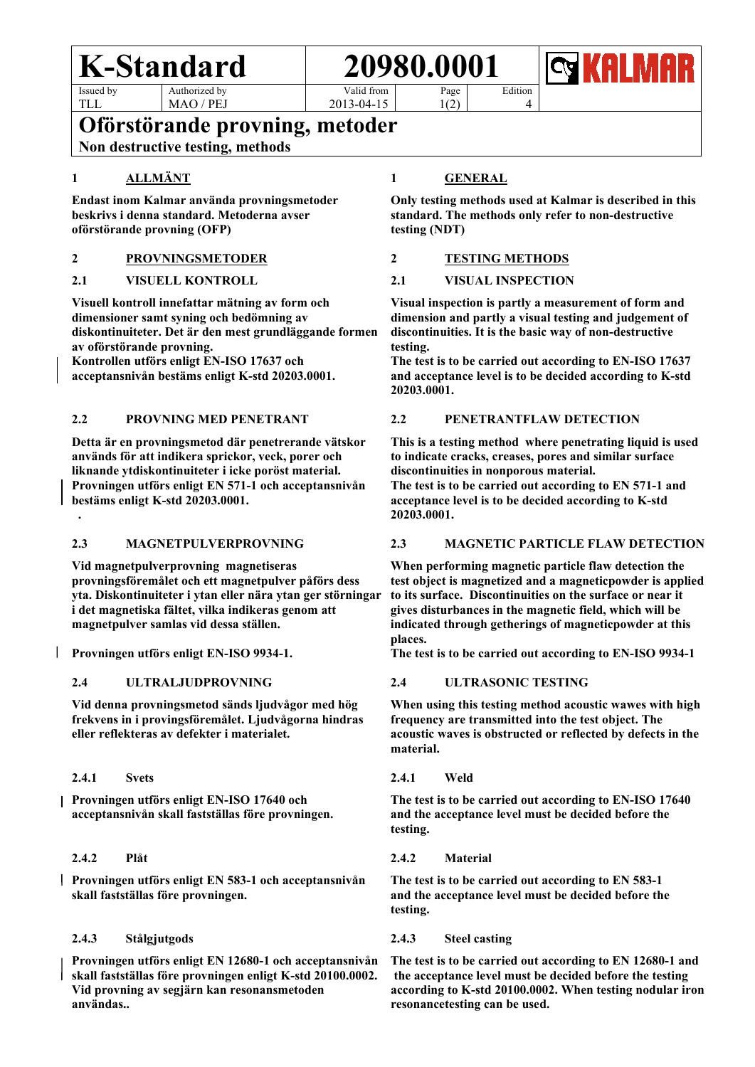#### **K-Standard 20980.0001** Issued by Authorized by

TLL

 **.**

MAO / PEJ

Valid from 2013-04-15

Page 1(2) Edition

**Oförstörande provning, metoder**

**Non destructive testing, methods**

# **1 ALLMÄNT**

**Endast inom Kalmar använda provningsmetoder beskrivs i denna standard. Metoderna avser oförstörande provning (OFP)**

## **2 PROVNINGSMETODER**

## **2.1 VISUELL KONTROLL**

**Visuell kontroll innefattar mätning av form och dimensioner samt syning och bedömning av diskontinuiteter. Det är den mest grundläggande formen av oförstörande provning.**

**Kontrollen utförs enligt EN-ISO 17637 och acceptansnivån bestäms enligt K-std 20203.0001.**

### **2.2 PROVNING MED PENETRANT**

**Detta är en provningsmetod där penetrerande vätskor används för att indikera sprickor, veck, porer och liknande ytdiskontinuiteter i icke poröst material. Provningen utförs enligt EN 571-1 och acceptansnivån bestäms enligt K-std 20203.0001.**

### **2.3 MAGNETPULVERPROVNING**

**Vid magnetpulverprovning magnetiseras provningsföremålet och ett magnetpulver påförs dess yta. Diskontinuiteter i ytan eller nära ytan ger störningar i det magnetiska fältet, vilka indikeras genom att magnetpulver samlas vid dessa ställen.** 

 $\mathsf{I}$ **Provningen utförs enligt EN-ISO 9934-1.**

## **2.4 ULTRALJUDPROVNING**

**Vid denna provningsmetod sänds ljudvågor med hög frekvens in i provingsföremålet. Ljudvågorna hindras eller reflekteras av defekter i materialet.** 

### **2.4.1 Svets**

**Provningen utförs enligt EN-ISO 17640 och acceptansnivån skall fastställas före provningen.**

## **2.4.2 Plåt**

**Provningen utförs enligt EN 583-1 och acceptansnivån skall fastställas före provningen.**

## **2.4.3 Stålgjutgods**

**Provningen utförs enligt EN 12680-1 och acceptansnivån skall fastställas före provningen enligt K-std 20100.0002. Vid provning av segjärn kan resonansmetoden användas..**

## **1 GENERAL**

**Only testing methods used at Kalmar is described in this standard. The methods only refer to non-destructive testing (NDT)**

4

### **2 TESTING METHODS**

### **2.1 VISUAL INSPECTION**

**Visual inspection is partly a measurement of form and dimension and partly a visual testing and judgement of discontinuities. It is the basic way of non-destructive testing.** 

**The test is to be carried out according to EN-ISO 17637 and acceptance level is to be decided according to K-std 20203.0001.**

### **2.2 PENETRANTFLAW DETECTION**

**This is a testing method where penetrating liquid is used to indicate cracks, creases, pores and similar surface discontinuities in nonporous material.**

**The test is to be carried out according to EN 571-1 and acceptance level is to be decided according to K-std 20203.0001.**

## **2.3 MAGNETIC PARTICLE FLAW DETECTION**

**When performing magnetic particle flaw detection the test object is magnetized and a magneticpowder is applied to its surface. Discontinuities on the surface or near it gives disturbances in the magnetic field, which will be indicated through getherings of magneticpowder at this places.** 

**The test is to be carried out according to EN-ISO 9934-1**

## **2.4 ULTRASONIC TESTING**

**When using this testing method acoustic wawes with high frequency are transmitted into the test object. The acoustic waves is obstructed or reflected by defects in the material.**

### **2.4.1 Weld**

**The test is to be carried out according to EN-ISO 17640 and the acceptance level must be decided before the testing.**

### **2.4.2 Material**

**The test is to be carried out according to EN 583-1 and the acceptance level must be decided before the testing.**

### **2.4.3 Steel casting**

**The test is to be carried out according to EN 12680-1 and the acceptance level must be decided before the testing according to K-std 20100.0002. When testing nodular iron resonancetesting can be used.**